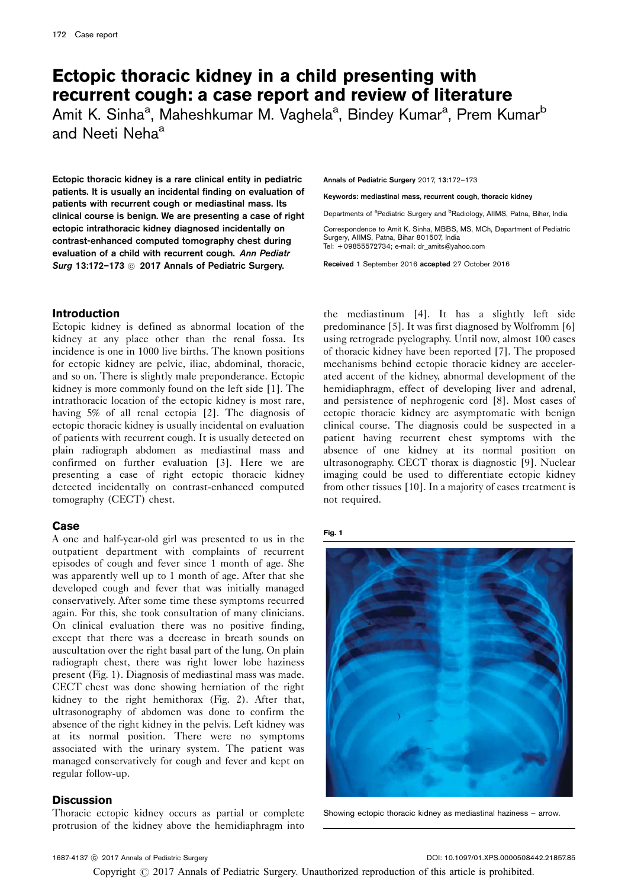# Ectopic thoracic kidney in a child presenting with recurrent cough: a case report and review of literature

Amit K. Sinha<sup>a</sup>, Maheshkumar M. Vaghela<sup>a</sup>, Bindey Kumar<sup>a</sup>, Prem Kumar<sup>b</sup> and Neeti Neha<sup>a</sup>

Ectopic thoracic kidney is a rare clinical entity in pediatric patients. It is usually an incidental finding on evaluation of patients with recurrent cough or mediastinal mass. Its clinical course is benign. We are presenting a case of right ectopic intrathoracic kidney diagnosed incidentally on contrast-enhanced computed tomography chest during evaluation of a child with recurrent cough. Ann Pediatr Surg 13:172-173  $\circledcirc$  2017 Annals of Pediatric Surgery.

# Introduction

Ectopic kidney is defined as abnormal location of the kidney at any place other than the renal fossa. Its incidence is one in 1000 live births. The known positions for ectopic kidney are pelvic, iliac, abdominal, thoracic, and so on. There is slightly male preponderance. Ectopic kidney is more commonly found on the left side [\[1\]](#page-1-0). The intrathoracic location of the ectopic kidney is most rare, having 5% of all renal ectopia [\[2](#page-1-0)]. The diagnosis of ectopic thoracic kidney is usually incidental on evaluation of patients with recurrent cough. It is usually detected on plain radiograph abdomen as mediastinal mass and confirmed on further evaluation [\[3\]](#page-1-0). Here we are presenting a case of right ectopic thoracic kidney detected incidentally on contrast-enhanced computed tomography (CECT) chest.

# Case

A one and half-year-old girl was presented to us in the outpatient department with complaints of recurrent episodes of cough and fever since 1 month of age. She was apparently well up to 1 month of age. After that she developed cough and fever that was initially managed conservatively. After some time these symptoms recurred again. For this, she took consultation of many clinicians. On clinical evaluation there was no positive finding, except that there was a decrease in breath sounds on auscultation over the right basal part of the lung. On plain radiograph chest, there was right lower lobe haziness present (Fig. 1). Diagnosis of mediastinal mass was made. CECT chest was done showing herniation of the right kidney to the right hemithorax ([Fig. 2](#page-1-0)). After that, ultrasonography of abdomen was done to confirm the absence of the right kidney in the pelvis. Left kidney was at its normal position. There were no symptoms associated with the urinary system. The patient was managed conservatively for cough and fever and kept on regular follow-up.

## **Discussion**

Thoracic ectopic kidney occurs as partial or complete protrusion of the kidney above the hemidiaphragm into

Annals of Pediatric Surgery 2017, 13:172–173

Keywords: mediastinal mass, recurrent cough, thoracic kidney

Departments of <sup>a</sup>Pediatric Surgery and <sup>b</sup>Radiology, AIIMS, Patna, Bihar, India

Correspondence to Amit K. Sinha, MBBS, MS, MCh, Department of Pediatric Surgery, AIIMS, Patna, Bihar 801507, India Tel: + 09855572734; e-mail: [dr\\_amits@yahoo.com](mailto:dr_amits@yahoo.com)

Received 1 September 2016 accepted 27 October 2016

the mediastinum [\[4](#page-1-0)]. It has a slightly left side predominance [\[5\]](#page-1-0). It was first diagnosed by Wolfromm [\[6\]](#page-1-0) using retrograde pyelography. Until now, almost 100 cases of thoracic kidney have been reported [\[7\]](#page-1-0). The proposed mechanisms behind ectopic thoracic kidney are accelerated accent of the kidney, abnormal development of the hemidiaphragm, effect of developing liver and adrenal, and persistence of nephrogenic cord [\[8](#page-1-0)]. Most cases of ectopic thoracic kidney are asymptomatic with benign clinical course. The diagnosis could be suspected in a patient having recurrent chest symptoms with the absence of one kidney at its normal position on ultrasonography. CECT thorax is diagnostic [\[9\]](#page-1-0). Nuclear imaging could be used to differentiate ectopic kidney from other tissues [\[10](#page-1-0)]. In a majority of cases treatment is not required.

#### Fig. 1



Showing ectopic thoracic kidney as mediastinal haziness – arrow.

Copyright  $\odot$  2017 Annals of Pediatric Surgery. Unauthorized reproduction of this article is prohibited.